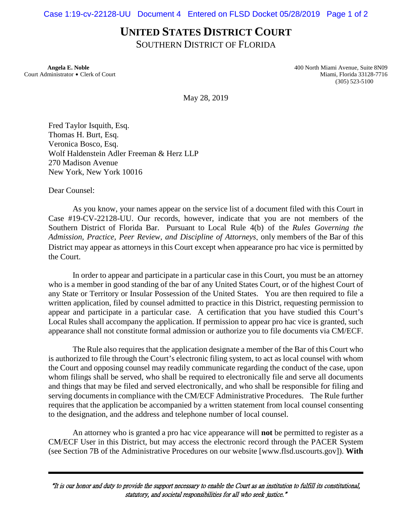## **UNITED STATES DISTRICT COURT**

SOUTHERN DISTRICT OF FLORIDA

Court Administrator \$ Clerk of Court Miami, Florida 33128-7716

 **Angela E. Noble** 400 North Miami Avenue, Suite 8N09 (305) 523-5100

May 28, 2019

Fred Taylor Isquith, Esq. Thomas H. Burt, Esq. Veronica Bosco, Esq. Wolf Haldenstein Adler Freeman & Herz LLP 270 Madison Avenue New York, New York 10016

Dear Counsel:

As you know, your names appear on the service list of a document filed with this Court in Case #19-CV-22128-UU. Our records, however, indicate that you are not members of the Southern District of Florida Bar. Pursuant to Local Rule 4(b) of the *Rules Governing the Admission, Practice, Peer Review, and Discipline of Attorneys*, only members of the Bar of this District may appear as attorneys in this Court except when appearance pro hac vice is permitted by the Court.

In order to appear and participate in a particular case in this Court, you must be an attorney who is a member in good standing of the bar of any United States Court, or of the highest Court of any State or Territory or Insular Possession of the United States. You are then required to file a written application, filed by counsel admitted to practice in this District, requesting permission to appear and participate in a particular case. A certification that you have studied this Court's Local Rules shall accompany the application. If permission to appear pro hac vice is granted, such appearance shall not constitute formal admission or authorize you to file documents via CM/ECF.

The Rule also requires that the application designate a member of the Bar of this Court who is authorized to file through the Court's electronic filing system, to act as local counsel with whom the Court and opposing counsel may readily communicate regarding the conduct of the case, upon whom filings shall be served, who shall be required to electronically file and serve all documents and things that may be filed and served electronically, and who shall be responsible for filing and serving documents in compliance with the CM/ECF Administrative Procedures. The Rule further requires that the application be accompanied by a written statement from local counsel consenting to the designation, and the address and telephone number of local counsel.

An attorney who is granted a pro hac vice appearance will **not** be permitted to register as a CM/ECF User in this District, but may access the electronic record through the PACER System (see Section 7B of the Administrative Procedures on our website [www.flsd.uscourts.gov]). **With** 

<sup>A</sup>It is our honor and duty to provide the support necessary to enable the Court as an institution to fulfill its constitutional, statutory, and societal responsibilities for all who seek justice."